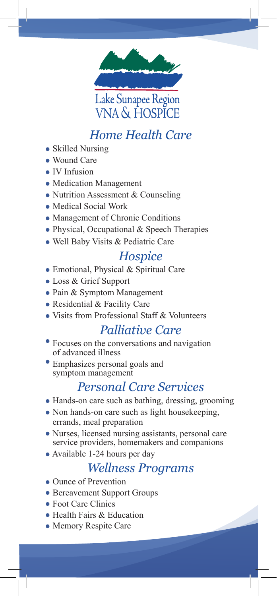

### *Home Health Care*

- Skilled Nursing
- Wound Care
- IV Infusion
- Medication Management
- Nutrition Assessment & Counseling
- Medical Social Work
- Management of Chronic Conditions
- Physical, Occupational & Speech Therapies
- Well Baby Visits & Pediatric Care

#### *Hospice*

- Emotional, Physical & Spiritual Care
- Loss & Grief Support
- Pain & Symptom Management
- Residential & Facility Care
- Visits from Professional Staff & Volunteers<br>Palliative Care

- Focuses on the conversations and navigation of advanced illness
- Emphasizes personal goals and symptom management

#### *Personal Care Services*

- Hands-on care such as bathing, dressing, grooming
- Non hands-on care such as light housekeeping, errands, meal preparation
- Nurses, licensed nursing assistants, personal care service providers, homemakers and companions
- Available 1-24 hours per day

#### *Wellness Programs*

- Ounce of Prevention
- Bereavement Support Groups
- Foot Care Clinics
- Health Fairs & Education
- Memory Respite Care